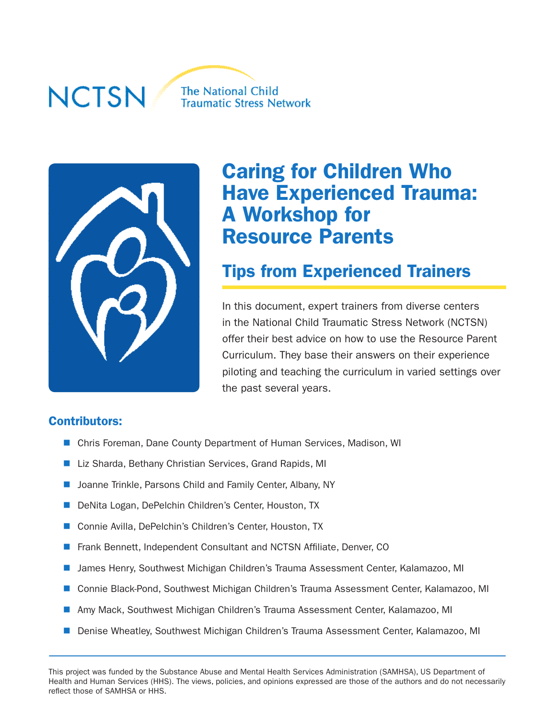#### **NCTSN The National Child Traumatic Stress Network**



# Caring for Children Who Have Experienced Trauma: A Workshop for Resource Parents

## Tips from Experienced Trainers

In this document, expert trainers from diverse centers in the National Child Traumatic Stress Network (NCTSN) offer their best advice on how to use the Resource Parent Curriculum. They base their answers on their experience piloting and teaching the curriculum in varied settings over the past several years.

#### Contributors:

- Chris Foreman, Dane County Department of Human Services, Madison, WI
- Liz Sharda, Bethany Christian Services, Grand Rapids, MI
- Joanne Trinkle, Parsons Child and Family Center, Albany, NY
- DeNita Logan, DePelchin Children's Center, Houston, TX
- Connie Avilla, DePelchin's Children's Center, Houston, TX
- Frank Bennett, Independent Consultant and NCTSN Affiliate, Denver, CO
- James Henry, Southwest Michigan Children's Trauma Assessment Center, Kalamazoo, MI
- Connie Black-Pond, Southwest Michigan Children's Trauma Assessment Center, Kalamazoo, MI
- Amy Mack, Southwest Michigan Children's Trauma Assessment Center, Kalamazoo, MI
- Denise Wheatley, Southwest Michigan Children's Trauma Assessment Center, Kalamazoo, MI

This project was funded by the Substance Abuse and Mental Health Services Administration (SAMHSA), US Department of Health and Human Services (HHS). The views, policies, and opinions expressed are those of the authors and do not necessarily reflect those of SAMHSA or HHS.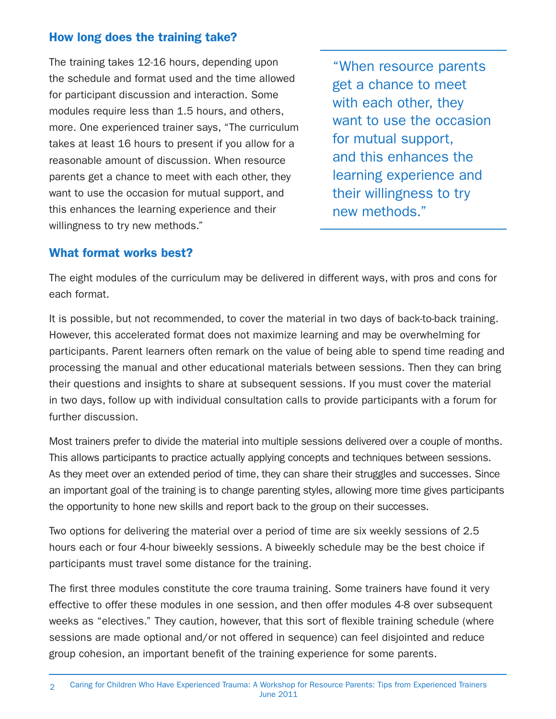#### How long does the training take?

The training takes 12-16 hours, depending upon the schedule and format used and the time allowed for participant discussion and interaction. Some modules require less than 1.5 hours, and others, more. One experienced trainer says, "The curriculum takes at least 16 hours to present if you allow for a reasonable amount of discussion. When resource parents get a chance to meet with each other, they want to use the occasion for mutual support, and this enhances the learning experience and their willingness to try new methods."

"When resource parents get a chance to meet with each other, they want to use the occasion for mutual support, and this enhances the learning experience and their willingness to try new methods."

#### What format works best?

The eight modules of the curriculum may be delivered in different ways, with pros and cons for each format.

It is possible, but not recommended, to cover the material in two days of back-to-back training. However, this accelerated format does not maximize learning and may be overwhelming for participants. Parent learners often remark on the value of being able to spend time reading and processing the manual and other educational materials between sessions. Then they can bring their questions and insights to share at subsequent sessions. If you must cover the material in two days, follow up with individual consultation calls to provide participants with a forum for further discussion.

Most trainers prefer to divide the material into multiple sessions delivered over a couple of months. This allows participants to practice actually applying concepts and techniques between sessions. As they meet over an extended period of time, they can share their struggles and successes. Since an important goal of the training is to change parenting styles, allowing more time gives participants the opportunity to hone new skills and report back to the group on their successes.

Two options for delivering the material over a period of time are six weekly sessions of 2.5 hours each or four 4-hour biweekly sessions. A biweekly schedule may be the best choice if participants must travel some distance for the training.

The first three modules constitute the core trauma training. Some trainers have found it very effective to offer these modules in one session, and then offer modules 4-8 over subsequent weeks as "electives." They caution, however, that this sort of flexible training schedule (where sessions are made optional and/or not offered in sequence) can feel disjointed and reduce group cohesion, an important benefit of the training experience for some parents.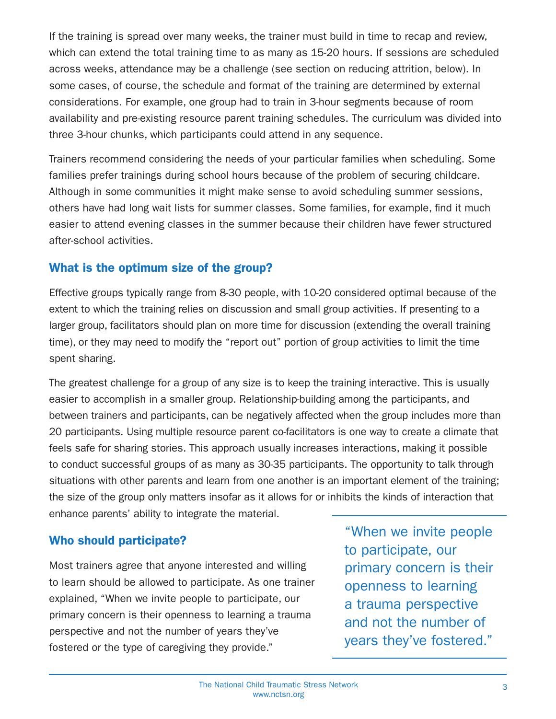If the training is spread over many weeks, the trainer must build in time to recap and review, which can extend the total training time to as many as 15-20 hours. If sessions are scheduled across weeks, attendance may be a challenge (see section on reducing attrition, below). In some cases, of course, the schedule and format of the training are determined by external considerations. For example, one group had to train in 3-hour segments because of room availability and pre-existing resource parent training schedules. The curriculum was divided into three 3-hour chunks, which participants could attend in any sequence.

Trainers recommend considering the needs of your particular families when scheduling. Some families prefer trainings during school hours because of the problem of securing childcare. Although in some communities it might make sense to avoid scheduling summer sessions, others have had long wait lists for summer classes. Some families, for example, find it much easier to attend evening classes in the summer because their children have fewer structured after-school activities.

#### What is the optimum size of the group?

Effective groups typically range from 8-30 people, with 10-20 considered optimal because of the extent to which the training relies on discussion and small group activities. If presenting to a larger group, facilitators should plan on more time for discussion (extending the overall training time), or they may need to modify the "report out" portion of group activities to limit the time spent sharing.

The greatest challenge for a group of any size is to keep the training interactive. This is usually easier to accomplish in a smaller group. Relationship-building among the participants, and between trainers and participants, can be negatively affected when the group includes more than 20 participants. Using multiple resource parent co-facilitators is one way to create a climate that feels safe for sharing stories. This approach usually increases interactions, making it possible to conduct successful groups of as many as 30-35 participants. The opportunity to talk through situations with other parents and learn from one another is an important element of the training; the size of the group only matters insofar as it allows for or inhibits the kinds of interaction that enhance parents' ability to integrate the material.

#### Who should participate?

Most trainers agree that anyone interested and willing to learn should be allowed to participate. As one trainer explained, "When we invite people to participate, our primary concern is their openness to learning a trauma perspective and not the number of years they've fostered or the type of caregiving they provide."

"When we invite people to participate, our primary concern is their openness to learning a trauma perspective and not the number of years they've fostered."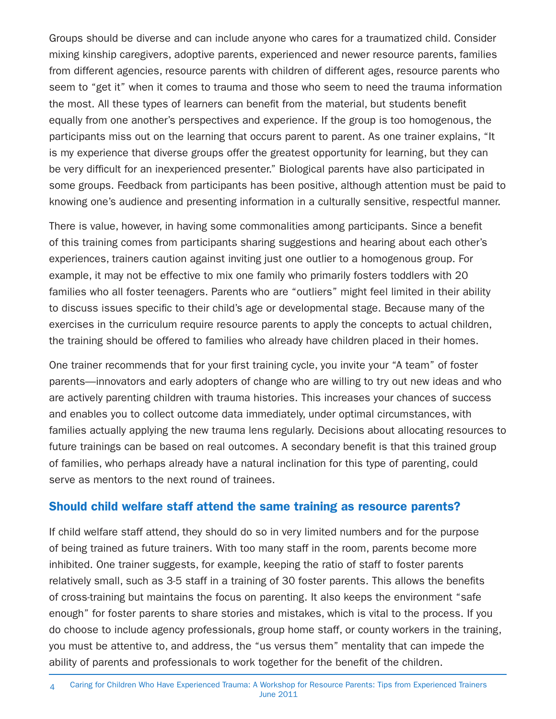Groups should be diverse and can include anyone who cares for a traumatized child. Consider mixing kinship caregivers, adoptive parents, experienced and newer resource parents, families from different agencies, resource parents with children of different ages, resource parents who seem to "get it" when it comes to trauma and those who seem to need the trauma information the most. All these types of learners can benefit from the material, but students benefit equally from one another's perspectives and experience. If the group is too homogenous, the participants miss out on the learning that occurs parent to parent. As one trainer explains, "It is my experience that diverse groups offer the greatest opportunity for learning, but they can be very difficult for an inexperienced presenter." Biological parents have also participated in some groups. Feedback from participants has been positive, although attention must be paid to knowing one's audience and presenting information in a culturally sensitive, respectful manner.

There is value, however, in having some commonalities among participants. Since a benefit of this training comes from participants sharing suggestions and hearing about each other's experiences, trainers caution against inviting just one outlier to a homogenous group. For example, it may not be effective to mix one family who primarily fosters toddlers with 20 families who all foster teenagers. Parents who are "outliers" might feel limited in their ability to discuss issues specific to their child's age or developmental stage. Because many of the exercises in the curriculum require resource parents to apply the concepts to actual children, the training should be offered to families who already have children placed in their homes.

One trainer recommends that for your first training cycle, you invite your "A team" of foster parents—innovators and early adopters of change who are willing to try out new ideas and who are actively parenting children with trauma histories. This increases your chances of success and enables you to collect outcome data immediately, under optimal circumstances, with families actually applying the new trauma lens regularly. Decisions about allocating resources to future trainings can be based on real outcomes. A secondary benefit is that this trained group of families, who perhaps already have a natural inclination for this type of parenting, could serve as mentors to the next round of trainees.

#### Should child welfare staff attend the same training as resource parents?

If child welfare staff attend, they should do so in very limited numbers and for the purpose of being trained as future trainers. With too many staff in the room, parents become more inhibited. One trainer suggests, for example, keeping the ratio of staff to foster parents relatively small, such as 3-5 staff in a training of 30 foster parents. This allows the benefits of cross-training but maintains the focus on parenting. It also keeps the environment "safe enough" for foster parents to share stories and mistakes, which is vital to the process. If you do choose to include agency professionals, group home staff, or county workers in the training, you must be attentive to, and address, the "us versus them" mentality that can impede the ability of parents and professionals to work together for the benefit of the children.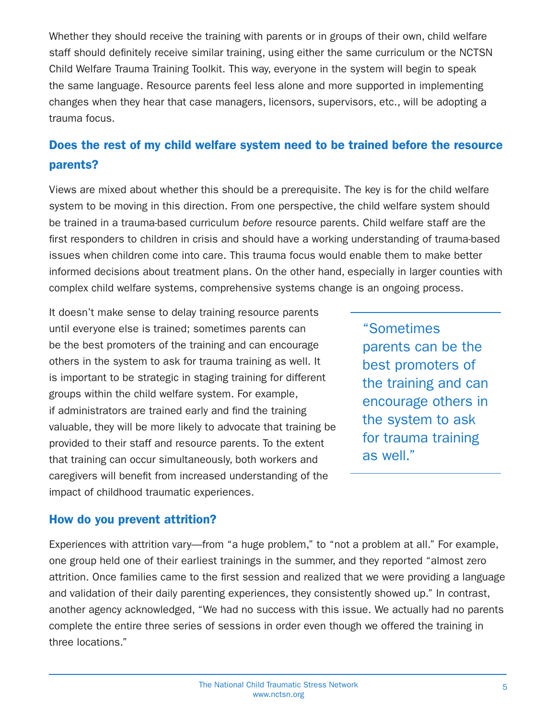Whether they should receive the training with parents or in groups of their own, child welfare staff should definitely receive similar training, using either the same curriculum or the NCTSN Child Welfare Trauma Training Toolkit. This way, everyone in the system will begin to speak the same language. Resource parents feel less alone and more supported in implementing changes when they hear that case managers, licensors, supervisors, etc., will be adopting a trauma focus.

## Does the rest of my child welfare system need to be trained before the resource parents?

Views are mixed about whether this should be a prerequisite. The key is for the child welfare system to be moving in this direction. From one perspective, the child welfare system should be trained in a trauma-based curriculum before resource parents. Child welfare staff are the first responders to children in crisis and should have a working understanding of trauma-based issues when children come into care. This trauma focus would enable them to make better informed decisions about treatment plans. On the other hand, especially in larger counties with complex child welfare systems, comprehensive systems change is an ongoing process.

It doesn't make sense to delay training resource parents until everyone else is trained; sometimes parents can be the best promoters of the training and can encourage others in the system to ask for trauma training as well. It is important to be strategic in staging training for different groups within the child welfare system. For example, if administrators are trained early and find the training valuable, they will be more likely to advocate that training be provided to their staff and resource parents. To the extent that training can occur simultaneously, both workers and caregivers will benefit from increased understanding of the impact of childhood traumatic experiences.

"Sometimes parents can be the best promoters of the training and can encourage others in the system to ask for trauma training as well."

#### How do you prevent attrition?

Experiences with attrition vary—from "a huge problem," to "not a problem at all." For example, one group held one of their earliest trainings in the summer, and they reported "almost zero attrition. Once families came to the first session and realized that we were providing a language and validation of their daily parenting experiences, they consistently showed up." In contrast, another agency acknowledged, "We had no success with this issue. We actually had no parents complete the entire three series of sessions in order even though we offered the training in three locations."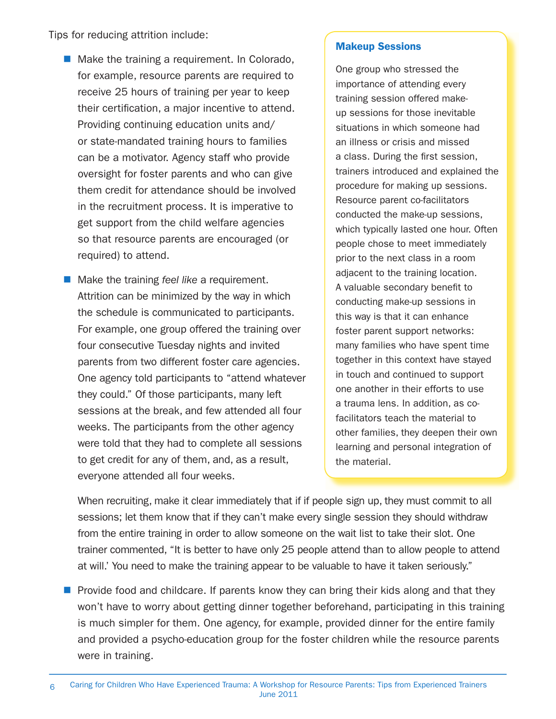Tips for reducing attrition include:

- Make the training a requirement. In Colorado, for example, resource parents are required to receive 25 hours of training per year to keep their certification, a major incentive to attend. Providing continuing education units and/ or state-mandated training hours to families can be a motivator. Agency staff who provide oversight for foster parents and who can give them credit for attendance should be involved in the recruitment process. It is imperative to get support from the child welfare agencies so that resource parents are encouraged (or required) to attend.
- $\blacksquare$  Make the training feel like a requirement. Attrition can be minimized by the way in which the schedule is communicated to participants. For example, one group offered the training over four consecutive Tuesday nights and invited parents from two different foster care agencies. One agency told participants to "attend whatever they could." Of those participants, many left sessions at the break, and few attended all four weeks. The participants from the other agency were told that they had to complete all sessions to get credit for any of them, and, as a result, everyone attended all four weeks.

#### Makeup Sessions

One group who stressed the importance of attending every training session offered makeup sessions for those inevitable situations in which someone had an illness or crisis and missed a class. During the first session, trainers introduced and explained the procedure for making up sessions. Resource parent co-facilitators conducted the make-up sessions, which typically lasted one hour. Often people chose to meet immediately prior to the next class in a room adjacent to the training location. A valuable secondary benefit to conducting make-up sessions in this way is that it can enhance foster parent support networks: many families who have spent time together in this context have stayed in touch and continued to support one another in their efforts to use a trauma lens. In addition, as cofacilitators teach the material to other families, they deepen their own learning and personal integration of the material.

When recruiting, make it clear immediately that if if people sign up, they must commit to all sessions; let them know that if they can't make every single session they should withdraw from the entire training in order to allow someone on the wait list to take their slot. One trainer commented, "It is better to have only 25 people attend than to allow people to attend at will.' You need to make the training appear to be valuable to have it taken seriously."

**Provide food and childcare. If parents know they can bring their kids along and that they** won't have to worry about getting dinner together beforehand, participating in this training is much simpler for them. One agency, for example, provided dinner for the entire family and provided a psycho-education group for the foster children while the resource parents were in training.

<sup>6</sup> Caring for Children Who Have Experienced Trauma: A Workshop for Resource Parents: Tips from Experienced Trainers June 2011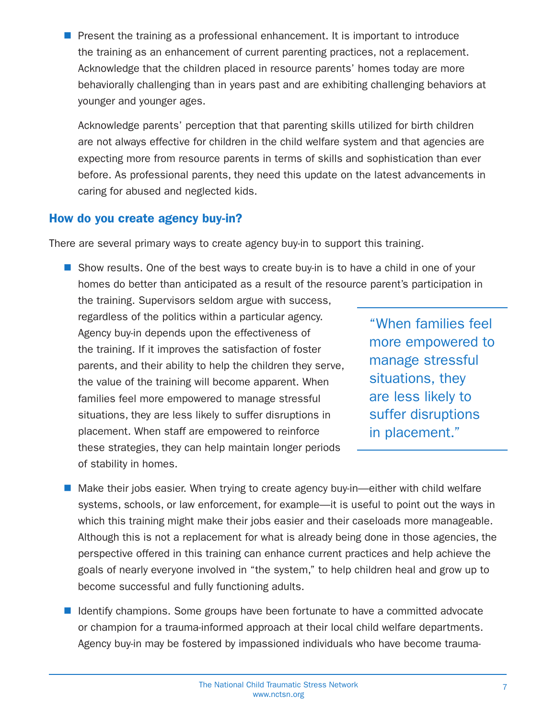Present the training as a professional enhancement. It is important to introduce the training as an enhancement of current parenting practices, not a replacement. Acknowledge that the children placed in resource parents' homes today are more behaviorally challenging than in years past and are exhibiting challenging behaviors at younger and younger ages.

Acknowledge parents' perception that that parenting skills utilized for birth children are not always effective for children in the child welfare system and that agencies are expecting more from resource parents in terms of skills and sophistication than ever before. As professional parents, they need this update on the latest advancements in caring for abused and neglected kids.

#### How do you create agency buy-in?

There are several primary ways to create agency buy-in to support this training.

**Show results. One of the best ways to create buy-in is to have a child in one of your** homes do better than anticipated as a result of the resource parent's participation in the training. Supervisors seldom argue with success,

regardless of the politics within a particular agency. Agency buy-in depends upon the effectiveness of the training. If it improves the satisfaction of foster parents, and their ability to help the children they serve, the value of the training will become apparent. When families feel more empowered to manage stressful situations, they are less likely to suffer disruptions in placement. When staff are empowered to reinforce these strategies, they can help maintain longer periods of stability in homes.

"When families feel more empowered to manage stressful situations, they are less likely to suffer disruptions in placement."

- Make their jobs easier. When trying to create agency buy-in—either with child welfare systems, schools, or law enforcement, for example—it is useful to point out the ways in which this training might make their jobs easier and their caseloads more manageable. Although this is not a replacement for what is already being done in those agencies, the perspective offered in this training can enhance current practices and help achieve the goals of nearly everyone involved in "the system," to help children heal and grow up to become successful and fully functioning adults.
- Identify champions. Some groups have been fortunate to have a committed advocate or champion for a trauma-informed approach at their local child welfare departments. Agency buy-in may be fostered by impassioned individuals who have become trauma-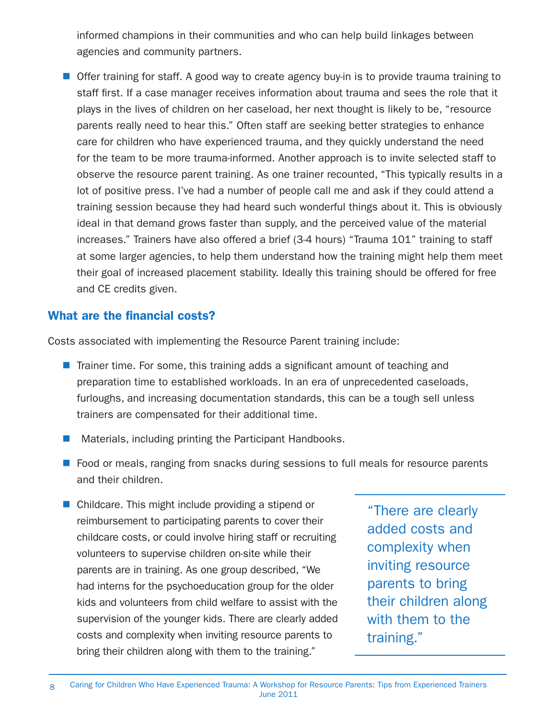informed champions in their communities and who can help build linkages between agencies and community partners.

**Offer training for staff.** A good way to create agency buy-in is to provide trauma training to staff first. If a case manager receives information about trauma and sees the role that it plays in the lives of children on her caseload, her next thought is likely to be, "resource parents really need to hear this." Often staff are seeking better strategies to enhance care for children who have experienced trauma, and they quickly understand the need for the team to be more trauma-informed. Another approach is to invite selected staff to observe the resource parent training. As one trainer recounted, "This typically results in a lot of positive press. I've had a number of people call me and ask if they could attend a training session because they had heard such wonderful things about it. This is obviously ideal in that demand grows faster than supply, and the perceived value of the material increases." Trainers have also offered a brief (3-4 hours) "Trauma 101" training to staff at some larger agencies, to help them understand how the training might help them meet their goal of increased placement stability. Ideally this training should be offered for free and CE credits given.

#### What are the financial costs?

Costs associated with implementing the Resource Parent training include:

- $\blacksquare$  Trainer time. For some, this training adds a significant amount of teaching and preparation time to established workloads. In an era of unprecedented caseloads, furloughs, and increasing documentation standards, this can be a tough sell unless trainers are compensated for their additional time.
- Materials, including printing the Participant Handbooks.
- Food or meals, ranging from snacks during sessions to full meals for resource parents and their children.
- Childcare. This might include providing a stipend or reimbursement to participating parents to cover their childcare costs, or could involve hiring staff or recruiting volunteers to supervise children on-site while their parents are in training. As one group described, "We had interns for the psychoeducation group for the older kids and volunteers from child welfare to assist with the supervision of the younger kids. There are clearly added costs and complexity when inviting resource parents to bring their children along with them to the training."

"There are clearly added costs and complexity when inviting resource parents to bring their children along with them to the training."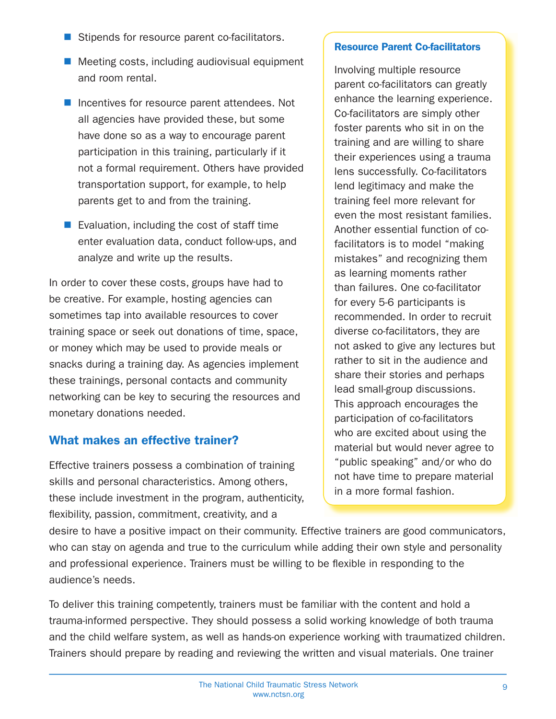- Stipends for resource parent co-facilitators.
- $\blacksquare$  Meeting costs, including audiovisual equipment and room rental.
- Incentives for resource parent attendees. Not all agencies have provided these, but some have done so as a way to encourage parent participation in this training, particularly if it not a formal requirement. Others have provided transportation support, for example, to help parents get to and from the training.
- Evaluation, including the cost of staff time enter evaluation data, conduct follow-ups, and analyze and write up the results.

In order to cover these costs, groups have had to be creative. For example, hosting agencies can sometimes tap into available resources to cover training space or seek out donations of time, space, or money which may be used to provide meals or snacks during a training day. As agencies implement these trainings, personal contacts and community networking can be key to securing the resources and monetary donations needed.

### What makes an effective trainer?

Effective trainers possess a combination of training skills and personal characteristics. Among others, these include investment in the program, authenticity, flexibility, passion, commitment, creativity, and a

#### Resource Parent Co-facilitators

Involving multiple resource parent co-facilitators can greatly enhance the learning experience. Co-facilitators are simply other foster parents who sit in on the training and are willing to share their experiences using a trauma lens successfully. Co-facilitators lend legitimacy and make the training feel more relevant for even the most resistant families. Another essential function of cofacilitators is to model "making mistakes" and recognizing them as learning moments rather than failures. One co-facilitator for every 5-6 participants is recommended. In order to recruit diverse co-facilitators, they are not asked to give any lectures but rather to sit in the audience and share their stories and perhaps lead small-group discussions. This approach encourages the participation of co-facilitators who are excited about using the material but would never agree to "public speaking" and/or who do not have time to prepare material in a more formal fashion.

desire to have a positive impact on their community. Effective trainers are good communicators, who can stay on agenda and true to the curriculum while adding their own style and personality and professional experience. Trainers must be willing to be flexible in responding to the audience's needs.

To deliver this training competently, trainers must be familiar with the content and hold a trauma-informed perspective. They should possess a solid working knowledge of both trauma and the child welfare system, as well as hands-on experience working with traumatized children. Trainers should prepare by reading and reviewing the written and visual materials. One trainer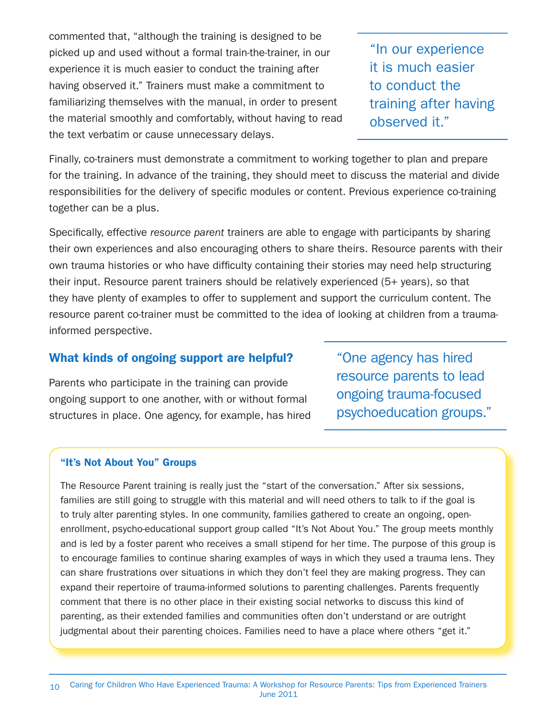commented that, "although the training is designed to be picked up and used without a formal train-the-trainer, in our experience it is much easier to conduct the training after having observed it." Trainers must make a commitment to familiarizing themselves with the manual, in order to present the material smoothly and comfortably, without having to read the text verbatim or cause unnecessary delays.

"In our experience it is much easier to conduct the training after having observed it."

Finally, co-trainers must demonstrate a commitment to working together to plan and prepare for the training. In advance of the training, they should meet to discuss the material and divide responsibilities for the delivery of specific modules or content. Previous experience co-training together can be a plus.

Specifically, effective resource parent trainers are able to engage with participants by sharing their own experiences and also encouraging others to share theirs. Resource parents with their own trauma histories or who have difficulty containing their stories may need help structuring their input. Resource parent trainers should be relatively experienced (5+ years), so that they have plenty of examples to offer to supplement and support the curriculum content. The resource parent co-trainer must be committed to the idea of looking at children from a traumainformed perspective.

#### What kinds of ongoing support are helpful?

Parents who participate in the training can provide ongoing support to one another, with or without formal structures in place. One agency, for example, has hired "One agency has hired resource parents to lead ongoing trauma-focused psychoeducation groups."

#### "It's Not About You" Groups

The Resource Parent training is really just the "start of the conversation." After six sessions, families are still going to struggle with this material and will need others to talk to if the goal is to truly alter parenting styles. In one community, families gathered to create an ongoing, openenrollment, psycho-educational support group called "It's Not About You." The group meets monthly and is led by a foster parent who receives a small stipend for her time. The purpose of this group is to encourage families to continue sharing examples of ways in which they used a trauma lens. They can share frustrations over situations in which they don't feel they are making progress. They can expand their repertoire of trauma-informed solutions to parenting challenges. Parents frequently comment that there is no other place in their existing social networks to discuss this kind of parenting, as their extended families and communities often don't understand or are outright judgmental about their parenting choices. Families need to have a place where others "get it."